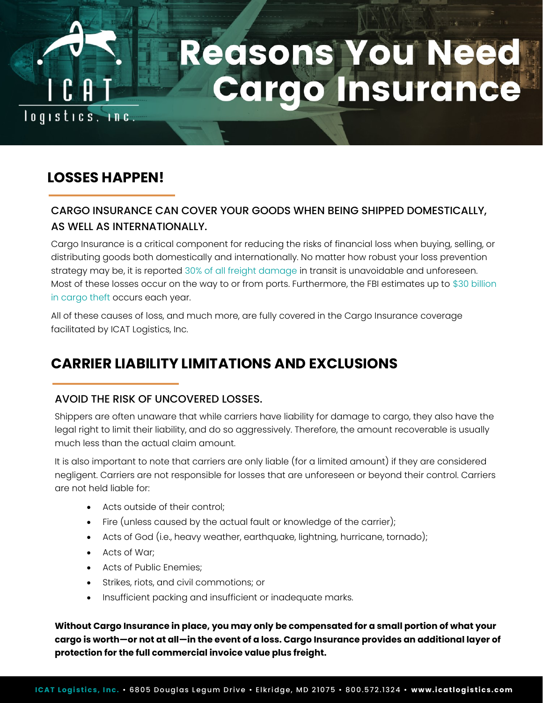

# **Reasons You Need<br>Cargo Insurance**

## **LOSSES HAPPEN!**

### CARGO INSURANCE CAN COVER YOUR GOODS WHEN BEING SHIPPED DOMESTICALLY, AS WELL AS INTERNATIONALLY.

Cargo Insurance is a critical component for reducing the risks of financial loss when buying, selling, or distributing goods both domestically and internationally. No matter how robust your loss prevention strategy may be, it is reported 30% of all freight damage in transit is unavoidable and unforeseen. Most of these losses occur on the way to or from ports. Furthermore, the FBI estimates up to \$30 billion in cargo theft occurs each year.

All of these causes of loss, and much more, are fully covered in the Cargo Insurance coverage facilitated by ICAT Logistics, Inc.

# **CARRIER LIABILITY LIMITATIONS AND EXCLUSIONS**

### AVOID THE RISK OF UNCOVERED LOSSES.

Shippers are often unaware that while carriers have liability for damage to cargo, they also have the legal right to limit their liability, and do so aggressively. Therefore, the amount recoverable is usually much less than the actual claim amount.

It is also important to note that carriers are only liable (for a limited amount) if they are considered negligent. Carriers are not responsible for losses that are unforeseen or beyond their control. Carriers are not held liable for:

- Acts outside of their control;
- Fire (unless caused by the actual fault or knowledge of the carrier);
- Acts of God (i.e., heavy weather, earthquake, lightning, hurricane, tornado);
- Acts of War;
- Acts of Public Enemies;
- Strikes, riots, and civil commotions; or
- Insufficient packing and insufficient or inadequate marks.

**Without Cargo Insurance in place, you may only be compensated for a small portion of what your cargo is worth—or not at all—in the event of a loss. Cargo Insurance provides an additional layer of protection for the full commercial invoice value plus freight.**